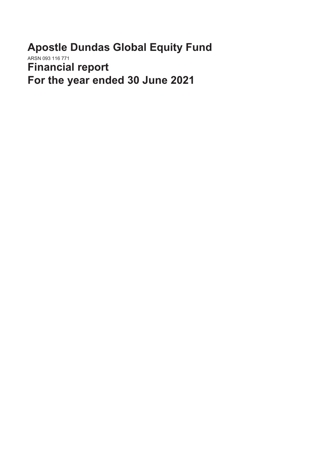**Apostle Dundas Global Equity Fund** ARSN 093 116 771 **Financial report For the year ended 30 June 2021**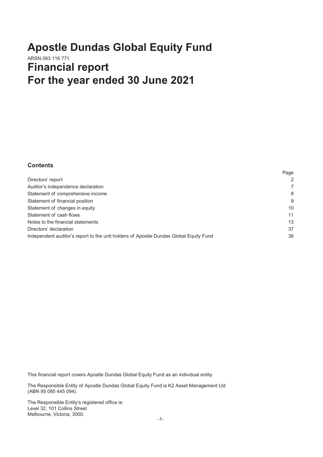# **Apostle Dundas Global Equity Fund** ARSN 093 116 771 **Financial report For the year ended 30 June 2021**

# **Contents**

|                                                                                       | Page |
|---------------------------------------------------------------------------------------|------|
| Directors' report                                                                     | 2    |
| Auditor's independence declaration                                                    |      |
| Statement of comprehensive income                                                     | 8    |
| Statement of financial position                                                       | 9    |
| Statement of changes in equity                                                        | 10   |
| Statement of cash flows                                                               | 11   |
| Notes to the financial statements                                                     | 13   |
| Directors' declaration                                                                | 37   |
| Independent auditor's report to the unit holders of Apostle Dundas Global Equity Fund | 38   |
|                                                                                       |      |

This financial report covers Apostle Dundas Global Equity Fund as an individual entity.

The Responsible Entity of Apostle Dundas Global Equity Fund is K2 Asset Management Ltd (ABN 95 085 445 094).

The Responsible Entity's registered office is: Level 32, 101 Collins Street Melbourne, Victoria, 3000.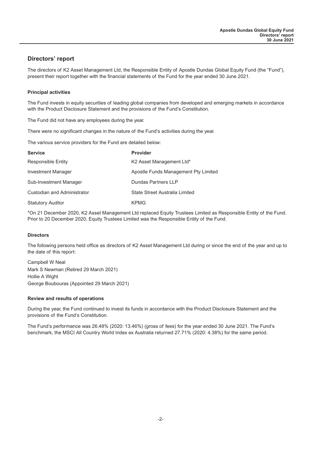# <span id="page-2-0"></span>**Directors' report**

The directors of K2 Asset Management Ltd, the Responsible Entity of Apostle Dundas Global Equity Fund (the "Fund"), present their report together with the financial statements of the Fund for the year ended 30 June 2021.

#### **Principal activities**

The Fund invests in equity securities of leading global companies from developed and emerging markets in accordance with the Product Disclosure Statement and the provisions of the Fund's Constitution.

The Fund did not have any employees during the year.

There were no significant changes in the nature of the Fund's activities during the year.

The various service providers for the Fund are detailed below:

| <b>Service</b>              | <b>Provider</b>                      |
|-----------------------------|--------------------------------------|
| <b>Responsible Entity</b>   | K2 Asset Management Ltd*             |
| <b>Investment Manager</b>   | Apostle Funds Management Pty Limited |
| Sub-Investment Manager      | Dundas Partners LLP                  |
| Custodian and Administrator | State Street Australia Limited       |
| <b>Statutory Auditor</b>    | <b>KPMG</b>                          |

\*On 21 December 2020, K2 Asset Management Ltd replaced Equity Trustees Limited as Responsible Entity of the Fund. Prior to 20 December 2020, Equity Trustees Limited was the Responsible Entity of the Fund.

#### **Directors**

The following persons held office as directors of K2 Asset Management Ltd during or since the end of the year and up to the date of this report:

Campbell W Neal Mark S Newman (Retired 29 March 2021) Hollie A Wight George Boubouras (Appointed 29 March 2021)

#### **Review and results of operations**

During the year, the Fund continued to invest its funds in accordance with the Product Disclosure Statement and the provisions of the Fund's Constitution.

The Fund's performance was 26.48% (2020: 13.46%) (gross of fees) for the year ended 30 June 2021. The Fund's benchmark, the MSCI All Country World Index ex Australia returned 27.71% (2020: 4.38%) for the same period.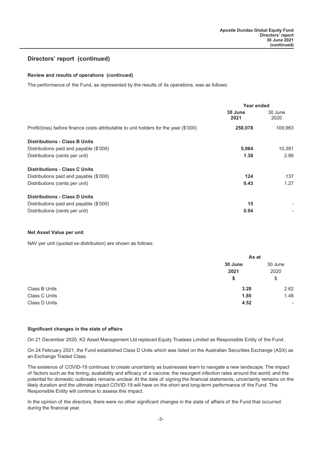#### **Review and results of operations (continued)**

The performance of the Fund, as represented by the results of its operations, was as follows:

|                                                                                       | Year ended      |                 |
|---------------------------------------------------------------------------------------|-----------------|-----------------|
|                                                                                       | 30 June<br>2021 | 30 June<br>2020 |
| Profit/(loss) before finance costs attributable to unit holders for the year (\$'000) | 258,078         | 109,963         |
| <b>Distributions - Class B Units</b>                                                  |                 |                 |
| Distributions paid and payable (\$'000)                                               | 5,064           | 10,381          |
| Distributions (cents per unit)                                                        | 1.38            | 2.86            |
| <b>Distributions - Class C Units</b>                                                  |                 |                 |
| Distributions paid and payable (\$'000)                                               | 124             | 137             |
| Distributions (cents per unit)                                                        | 0.43            | 1.27            |
| <b>Distributions - Class D Units</b>                                                  |                 |                 |
| Distributions paid and payable (\$'000)                                               | 15              |                 |
| Distributions (cents per unit)                                                        | 0.94            |                 |

#### **Net Asset Value per unit**

NAV per unit (quoted ex-distribution) are shown as follows:

|               | As at   |         |
|---------------|---------|---------|
|               | 30 June | 30 June |
|               | 2021    | 2020    |
|               | \$      | \$      |
| Class B Units | 3.28    | 2.62    |
| Class C Units | 1.85    | 1.48    |
| Class D Units | 4.52    | ٠       |

#### **Significant changes in the state of affairs**

On 21 December 2020, K2 Asset Management Ltd replaced Equity Trustees Limited as Responsible Entity of the Fund.

On 24 February 2021, the Fund established Class D Units which was listed on the Australian Securities Exchange (ASX) as an Exchange Traded Class.

The existence of COVID-19 continues to create uncertainty as businesses learn to navigate a new landscape. The impact of factors such as the timing, availability and efficacy of a vaccine; the resurgent infection rates around the world; and the potential for domestic outbreaks remains unclear. At the date of signing the financial statements, uncertainty remains on the likely duration and the ultimate impact COVID-19 will have on the short and long-term performance of the Fund. The Responsible Entity will continue to assess this impact.

In the opinion of the directors, there were no other significant changes in the state of affairs of the Fund that occurred during the financial year.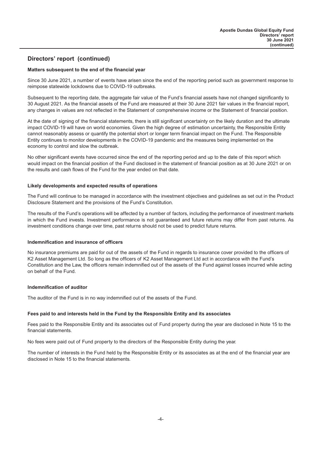#### **Matters subsequent to the end of the financial year**

Since 30 June 2021, a number of events have arisen since the end of the reporting period such as government response to reimpose statewide lockdowns due to COVID-19 outbreaks.

Subsequent to the reporting date, the aggregate fair value of the Fund's financial assets have not changed significantly to 30 August 2021. As the financial assets of the Fund are measured at their 30 June 2021 fair values in the financial report, any changes in values are not reflected in the Statement of comprehensive income or the Statement of financial position.

At the date of signing of the financial statements, there is still significant uncertainty on the likely duration and the ultimate impact COVID-19 will have on world economies. Given the high degree of estimation uncertainty, the Responsible Entity cannot reasonably assess or quantify the potential short or longer term financial impact on the Fund. The Responsible Entity continues to monitor developments in the COVID-19 pandemic and the measures being implemented on the economy to control and slow the outbreak.

No other significant events have occurred since the end of the reporting period and up to the date of this report which would impact on the financial position of the Fund disclosed in the statement of financial position as at 30 June 2021 or on the results and cash flows of the Fund for the year ended on that date.

#### **Likely developments and expected results of operations**

The Fund will continue to be managed in accordance with the investment objectives and guidelines as set out in the Product Disclosure Statement and the provisions of the Fund's Constitution.

The results of the Fund's operations will be affected by a number of factors, including the performance of investment markets in which the Fund invests. Investment performance is not guaranteed and future returns may differ from past returns. As investment conditions change over time, past returns should not be used to predict future returns.

#### **Indemnification and insurance of officers**

No insurance premiums are paid for out of the assets of the Fund in regards to insurance cover provided to the officers of K2 Asset Management Ltd. So long as the officers of K2 Asset Management Ltd act in accordance with the Fund's Constitution and the Law, the officers remain indemnified out of the assets of the Fund against losses incurred while acting on behalf of the Fund.

#### **Indemnification of auditor**

The auditor of the Fund is in no way indemnified out of the assets of the Fund.

#### **Fees paid to and interests held in the Fund by the Responsible Entity and its associates**

Fees paid to the Responsible Entity and its associates out of Fund property during the year are disclosed in Note 15 to the financial statements.

No fees were paid out of Fund property to the directors of the Responsible Entity during the year.

The number of interests in the Fund held by the Responsible Entity or its associates as at the end of the financial year are disclosed in Note 15 to the financial statements.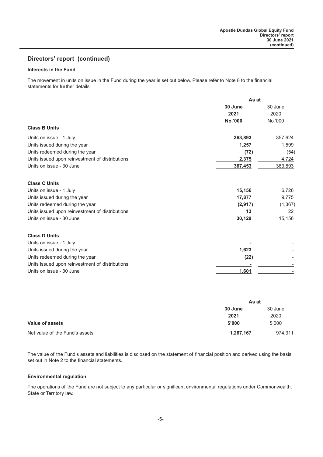#### **Interests in the Fund**

The movement in units on issue in the Fund during the year is set out below. Please refer to Note 8 to the financial statements for further details.

|                                                 | As at   |          |
|-------------------------------------------------|---------|----------|
|                                                 | 30 June | 30 June  |
|                                                 | 2021    | 2020     |
|                                                 | No.'000 | No.'000  |
| <b>Class B Units</b>                            |         |          |
| Units on issue - 1 July                         | 363,893 | 357,624  |
| Units issued during the year                    | 1,257   | 1,599    |
| Units redeemed during the year                  | (72)    | (54)     |
| Units issued upon reinvestment of distributions | 2,375   | 4,724    |
| Units on issue - 30 June                        | 367,453 | 363,893  |
| <b>Class C Units</b>                            |         |          |
| Units on issue - 1 July                         | 15,156  | 6,726    |
| Units issued during the year                    | 17,877  | 9,775    |
| Units redeemed during the year                  | (2,917) | (1, 367) |
| Units issued upon reinvestment of distributions | 13      | 22       |
| Units on issue - 30 June                        | 30,129  | 15,156   |
| <b>Class D Units</b>                            |         |          |
| Units on issue - 1 July                         |         |          |
| Units issued during the year                    | 1,623   |          |
| Units redeemed during the year                  | (22)    |          |
| Units issued upon reinvestment of distributions |         |          |
| Units on issue - 30 June                        | 1,601   |          |

|                                |                | As at   |  |
|--------------------------------|----------------|---------|--|
|                                | <b>30 June</b> | 30 June |  |
|                                | 2021           | 2020    |  |
| <b>Value of assets</b>         | \$'000         | \$'000  |  |
| Net value of the Fund's assets | 1,267,167      | 974,311 |  |

The value of the Fund's assets and liabilities is disclosed on the statement of financial position and derived using the basis set out in Note 2 to the financial statements.

#### **Environmental regulation**

The operations of the Fund are not subject to any particular or significant environmental regulations under Commonwealth, State or Territory law.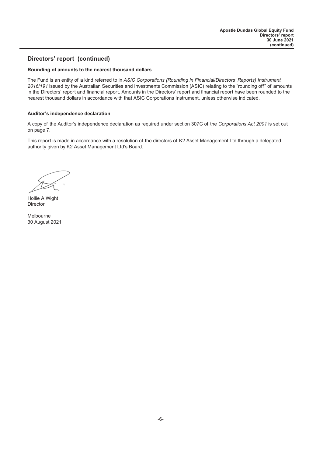#### **Rounding of amounts to the nearest thousand dollars**

The Fund is an entity of a kind referred to in *ASIC Corporations (Rounding in Financial/Directors' Reports) Instrument 2016/191* issued by the Australian Securities and Investments Commission (ASIC) relating to the "rounding off" of amounts in the Directors' report and financial report. Amounts in the Directors' report and financial report have been rounded to the nearest thousand dollars in accordance with that ASIC Corporations Instrument, unless otherwise indicated.

#### **Auditor's independence declaration**

A copy of the Auditor's independence declaration as required under section 307C of the *Corporations Act 2001* is set out on page 7.

This report is made in accordance with a resolution of the directors of K2 Asset Management Ltd through a delegated authority given by K2 Asset Management Ltd's Board.

Hollie A Wight Director

Melbourne 30 August 2021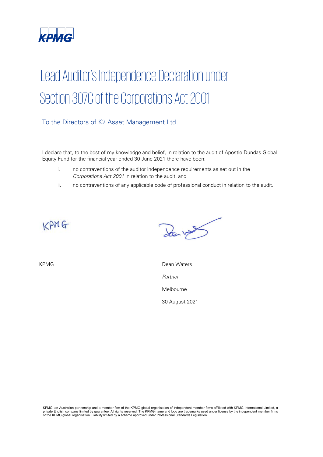

# Lead Auditor's Independence Declaration under Section 307C of the Corporations Act 2001

# To the Directors of K2 Asset Management Ltd

I declare that, to the best of my knowledge and belief, in relation to the audit of Apostle Dundas Global Equity Fund for the financial year ended 30 June 2021 there have been:

- i. no contraventions of the auditor independence requirements as set out in the Corporations Act 2001 in relation to the audit; and
- ii. no contraventions of any applicable code of professional conduct in relation to the audit.

 $KPMG$ 

Le vy

KPMG **Dean Waters** 

Partner

Melbourne

30 August 2021

KPMG, an Australian partnership and a member firm of the KPMG global organisation of independent member firms affiliated with KPMG International Limited, a<br>private English company limited by guarantee. All rights reserved.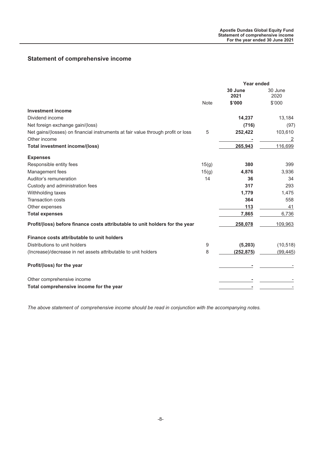# <span id="page-8-0"></span>**Statement of comprehensive income**

|                                                                                  |             | <b>Year ended</b> |                 |
|----------------------------------------------------------------------------------|-------------|-------------------|-----------------|
|                                                                                  |             | 30 June<br>2021   | 30 June<br>2020 |
|                                                                                  | <b>Note</b> | \$'000            | \$'000          |
| <b>Investment income</b>                                                         |             |                   |                 |
| Dividend income                                                                  |             | 14,237            | 13,184          |
| Net foreign exchange gain/(loss)                                                 |             | (716)             | (97)            |
| Net gains/(losses) on financial instruments at fair value through profit or loss | 5           | 252,422           | 103,610         |
| Other income                                                                     |             |                   | 2               |
| <b>Total investment income/(loss)</b>                                            |             | 265,943           | 116.699         |
| <b>Expenses</b>                                                                  |             |                   |                 |
| Responsible entity fees                                                          | 15(g)       | 380               | 399             |
| Management fees                                                                  | 15(g)       | 4,876             | 3,936           |
| Auditor's remuneration                                                           | 14          | 36                | 34              |
| Custody and administration fees                                                  |             | 317               | 293             |
| Withholding taxes                                                                |             | 1,779             | 1,475           |
| <b>Transaction costs</b>                                                         |             | 364               | 558             |
| Other expenses                                                                   |             | 113               | 41              |
| <b>Total expenses</b>                                                            |             | 7,865             | 6,736           |
| Profit/(loss) before finance costs attributable to unit holders for the year     |             | 258,078           | 109,963         |
| Finance costs attributable to unit holders                                       |             |                   |                 |
| Distributions to unit holders                                                    | 9           | (5, 203)          | (10, 518)       |
| (Increase)/decrease in net assets attributable to unit holders                   | 8           | (252, 875)        | (99, 445)       |
| Profit/(loss) for the year                                                       |             |                   |                 |
| Other comprehensive income                                                       |             |                   |                 |
| Total comprehensive income for the year                                          |             |                   |                 |

*The above statement of comprehensive income should be read in conjunction with the accompanying notes.*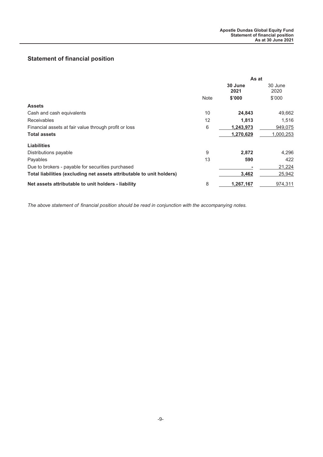# <span id="page-9-0"></span>**Statement of financial position**

|                                                                       | As at       |                 |                 |
|-----------------------------------------------------------------------|-------------|-----------------|-----------------|
|                                                                       |             | 30 June<br>2021 | 30 June<br>2020 |
|                                                                       | <b>Note</b> | \$'000          | \$'000          |
| <b>Assets</b>                                                         |             |                 |                 |
| Cash and cash equivalents                                             | 10          | 24,843          | 49,662          |
| <b>Receivables</b>                                                    | 12          | 1.813           | 1,516           |
| Financial assets at fair value through profit or loss                 | 6           | 1,243,973       | 949,075         |
| <b>Total assets</b>                                                   |             | 1,270,629       | 1,000,253       |
| <b>Liabilities</b>                                                    |             |                 |                 |
| Distributions payable                                                 | 9           | 2,872           | 4,296           |
| Payables                                                              | 13          | 590             | 422             |
| Due to brokers - payable for securities purchased                     |             |                 | 21,224          |
| Total liabilities (excluding net assets attributable to unit holders) |             | 3,462           | 25,942          |
| Net assets attributable to unit holders - liability                   | 8           | 1,267,167       | 974,311         |

*The above statement of financial position should be read in conjunction with the accompanying notes.*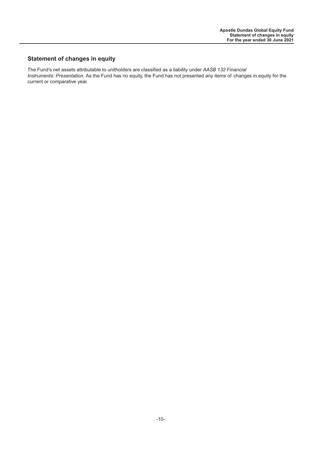# <span id="page-10-0"></span>**Statement of changes in equity**

The Fund's net assets attributable to unitholders are classified as a liability under *AASB 132 Financial Instruments: Presentation*. As the Fund has no equity, the Fund has not presented any items of changes in equity for the current or comparative year.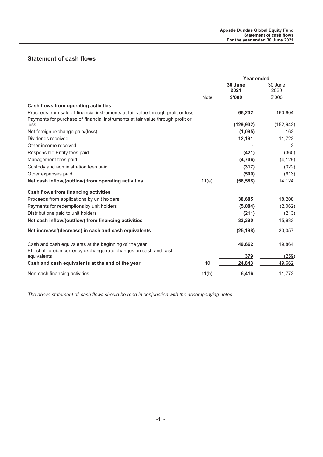# <span id="page-11-0"></span>**Statement of cash flows**

|                                                                                                                                                                    |             | <b>Year ended</b> |                 |
|--------------------------------------------------------------------------------------------------------------------------------------------------------------------|-------------|-------------------|-----------------|
|                                                                                                                                                                    |             | 30 June<br>2021   | 30 June<br>2020 |
|                                                                                                                                                                    | <b>Note</b> | \$'000            | \$'000          |
| Cash flows from operating activities                                                                                                                               |             |                   |                 |
| Proceeds from sale of financial instruments at fair value through profit or loss<br>Payments for purchase of financial instruments at fair value through profit or |             | 66,232            | 160,604         |
| loss                                                                                                                                                               |             | (129, 932)        | (152, 942)      |
| Net foreign exchange gain/(loss)                                                                                                                                   |             | (1,095)           | 162             |
| Dividends received                                                                                                                                                 |             | 12,191            | 11.722          |
| Other income received                                                                                                                                              |             |                   | 2               |
| Responsible Entity fees paid                                                                                                                                       |             | (421)             | (360)           |
| Management fees paid                                                                                                                                               |             | (4,746)           | (4, 129)        |
| Custody and administration fees paid                                                                                                                               |             | (317)             | (322)           |
| Other expenses paid                                                                                                                                                |             | (500)             | (613)           |
| Net cash inflow/(outflow) from operating activities                                                                                                                | 11(a)       | (58, 588)         | 14,124          |
| Cash flows from financing activities                                                                                                                               |             |                   |                 |
| Proceeds from applications by unit holders                                                                                                                         |             | 38,685            | 18,208          |
| Payments for redemptions by unit holders                                                                                                                           |             | (5,084)           | (2,062)         |
| Distributions paid to unit holders                                                                                                                                 |             | (211)             | (213)           |
| Net cash inflow/(outflow) from financing activities                                                                                                                |             | 33,390            | 15,933          |
| Net increase/(decrease) in cash and cash equivalents                                                                                                               |             | (25, 198)         | 30,057          |
| Cash and cash equivalents at the beginning of the year                                                                                                             |             | 49,662            | 19,864          |
| Effect of foreign currency exchange rate changes on cash and cash<br>equivalents                                                                                   |             | 379               | (259)           |
| Cash and cash equivalents at the end of the year                                                                                                                   | 10          | 24,843            | 49,662          |
| Non-cash financing activities                                                                                                                                      | 11(b)       | 6,416             | 11,772          |
|                                                                                                                                                                    |             |                   |                 |

*The above statement of cash flows should be read in conjunction with the accompanying notes.*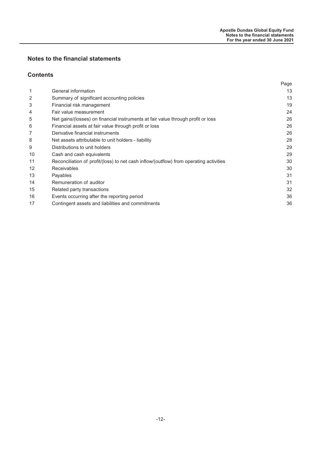# **Notes to the financial statements**

## **Contents**

|                                                                                        | Page |
|----------------------------------------------------------------------------------------|------|
| General information                                                                    | 13   |
| Summary of significant accounting policies                                             | 13   |
| Financial risk management                                                              | 19   |
| Fair value measurement                                                                 | 24   |
| Net gains/(losses) on financial instruments at fair value through profit or loss       | 26   |
| Financial assets at fair value through profit or loss                                  | 26   |
| Derivative financial instruments                                                       | 26   |
| Net assets attributable to unit holders - liability                                    | 28   |
| Distributions to unit holders                                                          | 29   |
| Cash and cash equivalents                                                              | 29   |
| Reconciliation of profit/(loss) to net cash inflow/(outflow) from operating activities | 30   |
| <b>Receivables</b>                                                                     | 30   |
| Payables                                                                               | 31   |
| Remuneration of auditor                                                                | 31   |
| Related party transactions                                                             | 32   |
| Events occurring after the reporting period                                            | 36   |
| Contingent assets and liabilities and commitments                                      | 36   |
|                                                                                        |      |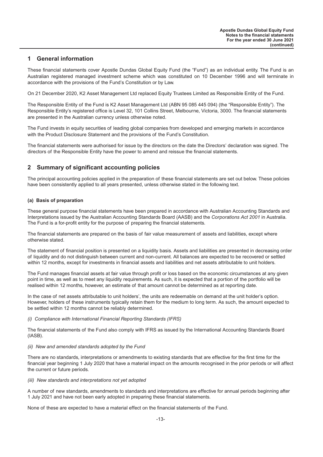## <span id="page-13-0"></span>**1 General information**

These financial statements cover Apostle Dundas Global Equity Fund (the "Fund") as an individual entity. The Fund is an Australian registered managed investment scheme which was constituted on 10 December 1996 and will terminate in accordance with the provisions of the Fund's Constitution or by Law.

On 21 December 2020, K2 Asset Management Ltd replaced Equity Trustees Limited as Responsible Entity of the Fund.

The Responsible Entity of the Fund is K2 Asset Management Ltd (ABN 95 085 445 094) (the "Responsible Entity"). The Responsible Entity's registered office is Level 32, 101 Collins Street, Melbourne, Victoria, 3000. The financial statements are presented in the Australian currency unless otherwise noted.

The Fund invests in equity securities of leading global companies from developed and emerging markets in accordance with the Product Disclosure Statement and the provisions of the Fund's Constitution.

The financial statements were authorised for issue by the directors on the date the Directors' declaration was signed. The directors of the Responsible Entity have the power to amend and reissue the financial statements.

# **2 Summary of significant accounting policies**

The principal accounting policies applied in the preparation of these financial statements are set out below. These policies have been consistently applied to all years presented, unless otherwise stated in the following text.

#### **(a) Basis of preparation**

These general purpose financial statements have been prepared in accordance with Australian Accounting Standards and Interpretations issued by the Australian Accounting Standards Board (AASB) and the *Corporations Act 2001* in Australia. The Fund is a for-profit entity for the purpose of preparing the financial statements.

The financial statements are prepared on the basis of fair value measurement of assets and liabilities, except where otherwise stated.

The statement of financial position is presented on a liquidity basis. Assets and liabilities are presented in decreasing order of liquidity and do not distinguish between current and non-current. All balances are expected to be recovered or settled within 12 months, except for investments in financial assets and liabilities and net assets attributable to unit holders.

The Fund manages financial assets at fair value through profit or loss based on the economic circumstances at any given point in time, as well as to meet any liquidity requirements. As such, it is expected that a portion of the portfolio will be realised within 12 months, however, an estimate of that amount cannot be determined as at reporting date.

In the case of net assets attributable to unit holders', the units are redeemable on demand at the unit holder's option. However, holders of these instruments typically retain them for the medium to long term. As such, the amount expected to be settled within 12 months cannot be reliably determined.

#### *(i) Compliance with International Financial Reporting Standards (IFRS)*

The financial statements of the Fund also comply with IFRS as issued by the International Accounting Standards Board (IASB).

#### *(ii) New and amended standards adopted by the Fund*

There are no standards, interpretations or amendments to existing standards that are effective for the first time for the financial year beginning 1 July 2020 that have a material impact on the amounts recognised in the prior periods or will affect the current or future periods.

#### *(iii) New standards and interpretations not yet adopted*

A number of new standards, amendments to standards and interpretations are effective for annual periods beginning after 1 July 2021 and have not been early adopted in preparing these financial statements.

None of these are expected to have a material effect on the financial statements of the Fund.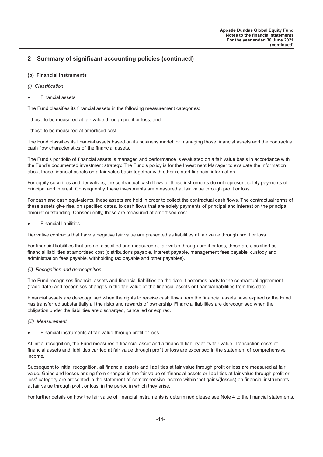#### **(b) Financial instruments**

- *(i) Classification*
- Financial assets

The Fund classifies its financial assets in the following measurement categories:

- those to be measured at fair value through profit or loss; and
- those to be measured at amortised cost.

The Fund classifies its financial assets based on its business model for managing those financial assets and the contractual cash flow characteristics of the financial assets.

The Fund's portfolio of financial assets is managed and performance is evaluated on a fair value basis in accordance with the Fund's documented investment strategy. The Fund's policy is for the Investment Manager to evaluate the information about these financial assets on a fair value basis together with other related financial information.

For equity securities and derivatives, the contractual cash flows of these instruments do not represent solely payments of principal and interest. Consequently, these investments are measured at fair value through profit or loss.

For cash and cash equivalents, these assets are held in order to collect the contractual cash flows. The contractual terms of these assets give rise, on specified dates, to cash flows that are solely payments of principal and interest on the principal amount outstanding. Consequently, these are measured at amortised cost.

• Financial liabilities

Derivative contracts that have a negative fair value are presented as liabilities at fair value through profit or loss.

For financial liabilities that are not classified and measured at fair value through profit or loss, these are classified as financial liabilities at amortised cost (distributions payable, interest payable, management fees payable, custody and administration fees payable, withholding tax payable and other payables).

#### *(ii) Recognition and derecognition*

The Fund recognises financial assets and financial liabilities on the date it becomes party to the contractual agreement (trade date) and recognises changes in the fair value of the financial assets or financial liabilities from this date.

Financial assets are derecognised when the rights to receive cash flows from the financial assets have expired or the Fund has transferred substantially all the risks and rewards of ownership. Financial liabilities are derecognised when the obligation under the liabilities are discharged, cancelled or expired.

- *(iii) Measurement*
- Financial instruments at fair value through profit or loss

At initial recognition, the Fund measures a financial asset and a financial liability at its fair value. Transaction costs of financial assets and liabilities carried at fair value through profit or loss are expensed in the statement of comprehensive income.

Subsequent to initial recognition, all financial assets and liabilities at fair value through profit or loss are measured at fair value. Gains and losses arising from changes in the fair value of 'financial assets or liabilities at fair value through profit or loss' category are presented in the statement of comprehensive income within 'net gains/(losses) on financial instruments at fair value through profit or loss' in the period in which they arise.

For further details on how the fair value of financial instruments is determined please see Note 4 to the financial statements.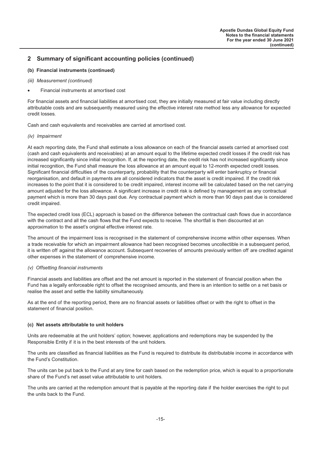#### **(b) Financial instruments (continued)**

- *(iii) Measurement (continued)*
- Financial instruments at amortised cost

For financial assets and financial liabilities at amortised cost, they are initially measured at fair value including directly attributable costs and are subsequently measured using the effective interest rate method less any allowance for expected credit losses.

Cash and cash equivalents and receivables are carried at amortised cost.

#### *(iv) Impairment*

At each reporting date, the Fund shall estimate a loss allowance on each of the financial assets carried at amortised cost (cash and cash equivalents and receivables) at an amount equal to the lifetime expected credit losses if the credit risk has increased significantly since initial recognition. If, at the reporting date, the credit risk has not increased significantly since initial recognition, the Fund shall measure the loss allowance at an amount equal to 12-month expected credit losses. Significant financial difficulties of the counterparty, probability that the counterparty will enter bankruptcy or financial reorganisation, and default in payments are all considered indicators that the asset is credit impaired. If the credit risk increases to the point that it is considered to be credit impaired, interest income will be calculated based on the net carrying amount adjusted for the loss allowance. A significant increase in credit risk is defined by management as any contractual payment which is more than 30 days past due. Any contractual payment which is more than 90 days past due is considered credit impaired.

The expected credit loss (ECL) approach is based on the difference between the contractual cash flows due in accordance with the contract and all the cash flows that the Fund expects to receive. The shortfall is then discounted at an approximation to the asset's original effective interest rate.

The amount of the impairment loss is recognised in the statement of comprehensive income within other expenses. When a trade receivable for which an impairment allowance had been recognised becomes uncollectible in a subsequent period, it is written off against the allowance account. Subsequent recoveries of amounts previously written off are credited against other expenses in the statement of comprehensive income.

#### *(v) Offsetting financial instruments*

Financial assets and liabilities are offset and the net amount is reported in the statement of financial position when the Fund has a legally enforceable right to offset the recognised amounts, and there is an intention to settle on a net basis or realise the asset and settle the liability simultaneously.

As at the end of the reporting period, there are no financial assets or liabilities offset or with the right to offset in the statement of financial position.

#### **(c) Net assets attributable to unit holders**

Units are redeemable at the unit holders' option; however, applications and redemptions may be suspended by the Responsible Entity if it is in the best interests of the unit holders.

The units are classified as financial liabilities as the Fund is required to distribute its distributable income in accordance with the Fund's Constitution.

The units can be put back to the Fund at any time for cash based on the redemption price, which is equal to a proportionate share of the Fund's net asset value attributable to unit holders.

The units are carried at the redemption amount that is payable at the reporting date if the holder exercises the right to put the units back to the Fund.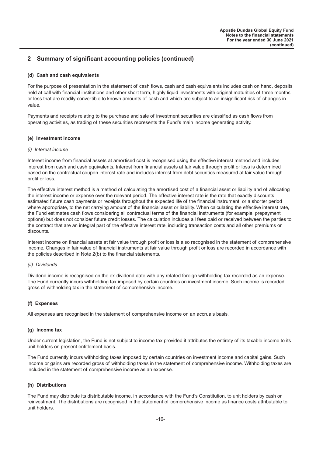#### **(d) Cash and cash equivalents**

For the purpose of presentation in the statement of cash flows, cash and cash equivalents includes cash on hand, deposits held at call with financial institutions and other short term, highly liquid investments with original maturities of three months or less that are readily convertible to known amounts of cash and which are subject to an insignificant risk of changes in value.

Payments and receipts relating to the purchase and sale of investment securities are classified as cash flows from operating activities, as trading of these securities represents the Fund's main income generating activity.

#### **(e) Investment income**

#### *(i) Interest income*

Interest income from financial assets at amortised cost is recognised using the effective interest method and includes interest from cash and cash equivalents. Interest from financial assets at fair value through profit or loss is determined based on the contractual coupon interest rate and includes interest from debt securities measured at fair value through profit or loss.

The effective interest method is a method of calculating the amortised cost of a financial asset or liability and of allocating the interest income or expense over the relevant period. The effective interest rate is the rate that exactly discounts estimated future cash payments or receipts throughout the expected life of the financial instrument, or a shorter period where appropriate, to the net carrying amount of the financial asset or liability. When calculating the effective interest rate, the Fund estimates cash flows considering all contractual terms of the financial instruments (for example, prepayment options) but does not consider future credit losses. The calculation includes all fees paid or received between the parties to the contract that are an integral part of the effective interest rate, including transaction costs and all other premiums or discounts.

Interest income on financial assets at fair value through profit or loss is also recognised in the statement of comprehensive income. Changes in fair value of financial instruments at fair value through profit or loss are recorded in accordance with the policies described in Note 2(b) to the financial statements.

#### *(ii) Dividends*

Dividend income is recognised on the ex-dividend date with any related foreign withholding tax recorded as an expense. The Fund currently incurs withholding tax imposed by certain countries on investment income. Such income is recorded gross of withholding tax in the statement of comprehensive income.

#### **(f) Expenses**

All expenses are recognised in the statement of comprehensive income on an accruals basis.

#### **(g) Income tax**

Under current legislation, the Fund is not subject to income tax provided it attributes the entirety of its taxable income to its unit holders on present entitlement basis.

The Fund currently incurs withholding taxes imposed by certain countries on investment income and capital gains. Such income or gains are recorded gross of withholding taxes in the statement of comprehensive income. Withholding taxes are included in the statement of comprehensive income as an expense.

#### **(h) Distributions**

The Fund may distribute its distributable income, in accordance with the Fund's Constitution, to unit holders by cash or reinvestment. The distributions are recognised in the statement of comprehensive income as finance costs attributable to unit holders.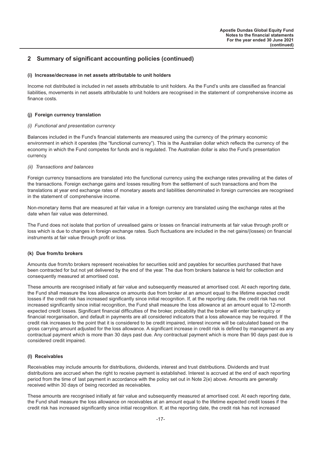#### **(i) Increase/decrease in net assets attributable to unit holders**

Income not distributed is included in net assets attributable to unit holders. As the Fund's units are classified as financial liabilities, movements in net assets attributable to unit holders are recognised in the statement of comprehensive income as finance costs.

#### **(j) Foreign currency translation**

#### *(i) Functional and presentation currency*

Balances included in the Fund's financial statements are measured using the currency of the primary economic environment in which it operates (the "functional currency"). This is the Australian dollar which reflects the currency of the economy in which the Fund competes for funds and is regulated. The Australian dollar is also the Fund's presentation currency.

#### *(ii) Transactions and balances*

Foreign currency transactions are translated into the functional currency using the exchange rates prevailing at the dates of the transactions. Foreign exchange gains and losses resulting from the settlement of such transactions and from the translations at year end exchange rates of monetary assets and liabilities denominated in foreign currencies are recognised in the statement of comprehensive income.

Non-monetary items that are measured at fair value in a foreign currency are translated using the exchange rates at the date when fair value was determined.

The Fund does not isolate that portion of unrealised gains or losses on financial instruments at fair value through profit or loss which is due to changes in foreign exchange rates. Such fluctuations are included in the net gains/(losses) on financial instruments at fair value through profit or loss.

#### **(k) Due from/to brokers**

Amounts due from/to brokers represent receivables for securities sold and payables for securities purchased that have been contracted for but not yet delivered by the end of the year. The due from brokers balance is held for collection and consequently measured at amortised cost.

These amounts are recognised initially at fair value and subsequently measured at amortised cost. At each reporting date, the Fund shall measure the loss allowance on amounts due from broker at an amount equal to the lifetime expected credit losses if the credit risk has increased significantly since initial recognition. If, at the reporting date, the credit risk has not increased significantly since initial recognition, the Fund shall measure the loss allowance at an amount equal to 12-month expected credit losses. Significant financial difficulties of the broker, probability that the broker will enter bankruptcy or financial reorganisation, and default in payments are all considered indicators that a loss allowance may be required. If the credit risk increases to the point that it is considered to be credit impaired, interest income will be calculated based on the gross carrying amount adjusted for the loss allowance. A significant increase in credit risk is defined by management as any contractual payment which is more than 30 days past due. Any contractual payment which is more than 90 days past due is considered credit impaired.

#### **(l) Receivables**

Receivables may include amounts for distributions, dividends, interest and trust distributions. Dividends and trust distributions are accrued when the right to receive payment is established. Interest is accrued at the end of each reporting period from the time of last payment in accordance with the policy set out in Note 2(e) above. Amounts are generally received within 30 days of being recorded as receivables.

These amounts are recognised initially at fair value and subsequently measured at amortised cost. At each reporting date, the Fund shall measure the loss allowance on receivables at an amount equal to the lifetime expected credit losses if the credit risk has increased significantly since initial recognition. If, at the reporting date, the credit risk has not increased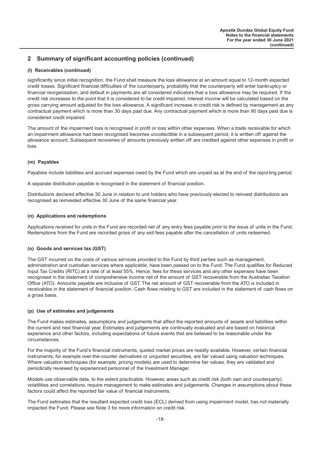#### **(l) Receivables (continued)**

significantly since initial recognition, the Fund shall measure the loss allowance at an amount equal to 12-month expected credit losses. Significant financial difficulties of the counterparty, probability that the counterparty will enter bankruptcy or financial reorganisation, and default in payments are all considered indicators that a loss allowance may be required. If the credit risk increases to the point that it is considered to be credit impaired, interest income will be calculated based on the gross carrying amount adjusted for the loss allowance. A significant increase in credit risk is defined by management as any contractual payment which is more than 30 days past due. Any contractual payment which is more than 90 days past due is considered credit impaired.

The amount of the impairment loss is recognised in profit or loss within other expenses. When a trade receivable for which an impairment allowance had been recognised becomes uncollectible in a subsequent period, it is written off against the allowance account. Subsequent recoveries of amounts previously written off are credited against other expenses in profit or loss.

#### **(m) Payables**

Payables include liabilities and accrued expenses owed by the Fund which are unpaid as at the end of the reporting period.

A separate distribution payable is recognised in the statement of financial position.

Distributions declared effective 30 June in relation to unit holders who have previously elected to reinvest distributions are recognised as reinvested effective 30 June of the same financial year.

#### **(n) Applications and redemptions**

Applications received for units in the Fund are recorded net of any entry fees payable prior to the issue of units in the Fund. Redemptions from the Fund are recorded gross of any exit fees payable after the cancellation of units redeemed.

#### **(o) Goods and services tax (GST)**

The GST incurred on the costs of various services provided to the Fund by third parties such as management, administration and custodian services where applicable, have been passed on to the Fund. The Fund qualifies for Reduced Input Tax Credits (RITC) at a rate of at least 55%. Hence, fees for these services and any other expenses have been recognised in the statement of comprehensive income net of the amount of GST recoverable from the Australian Taxation Office (ATO). Amounts payable are inclusive of GST. The net amount of GST recoverable from the ATO is included in receivables in the statement of financial position. Cash flows relating to GST are included in the statement of cash flows on a gross basis.

#### **(p) Use of estimates and judgements**

The Fund makes estimates, assumptions and judgements that affect the reported amounts of assets and liabilities within the current and next financial year. Estimates and judgements are continually evaluated and are based on historical experience and other factors, including expectations of future events that are believed to be reasonable under the circumstances.

For the majority of the Fund's financial instruments, quoted market prices are readily available. However, certain financial instruments, for example over-the-counter derivatives or unquoted securities, are fair valued using valuation techniques. Where valuation techniques (for example, pricing models) are used to determine fair values, they are validated and periodically reviewed by experienced personnel of the Investment Manager.

Models use observable data, to the extent practicable. However, areas such as credit risk (both own and counterparty), volatilities and correlations, require management to make estimates and judgements. Changes in assumptions about these factors could affect the reported fair value of financial instruments.

The Fund estimates that the resultant expected credit loss (ECL) derived from using impairment model, has not materially impacted the Fund. Please see Note 3 for more information on credit risk.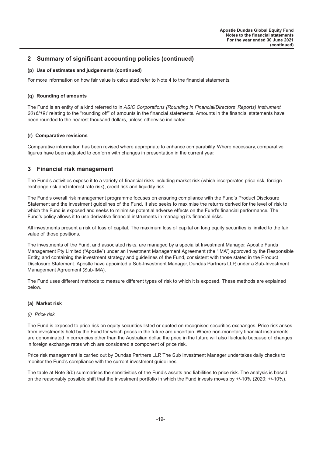#### <span id="page-19-0"></span>**(p) Use of estimates and judgements (continued)**

For more information on how fair value is calculated refer to Note 4 to the financial statements.

#### **(q) Rounding of amounts**

The Fund is an entity of a kind referred to in *ASIC Corporations (Rounding in Financial/Directors' Reports) Instrument 2016/191* relating to the "rounding off" of amounts in the financial statements. Amounts in the financial statements have been rounded to the nearest thousand dollars, unless otherwise indicated.

#### **(r) Comparative revisions**

Comparative information has been revised where appropriate to enhance comparability. Where necessary, comparative figures have been adjusted to conform with changes in presentation in the current year.

# **3 Financial risk management**

The Fund's activities expose it to a variety of financial risks including market risk (which incorporates price risk, foreign exchange risk and interest rate risk), credit risk and liquidity risk.

The Fund's overall risk management programme focuses on ensuring compliance with the Fund's Product Disclosure Statement and the investment guidelines of the Fund. It also seeks to maximise the returns derived for the level of risk to which the Fund is exposed and seeks to minimise potential adverse effects on the Fund's financial performance. The Fund's policy allows it to use derivative financial instruments in managing its financial risks.

All investments present a risk of loss of capital. The maximum loss of capital on long equity securities is limited to the fair value of those positions.

The investments of the Fund, and associated risks, are managed by a specialist Investment Manager, Apostle Funds Management Pty Limited ("Apostle") under an Investment Management Agreement (the "IMA") approved by the Responsible Entity, and containing the investment strategy and guidelines of the Fund, consistent with those stated in the Product Disclosure Statement. Apostle have appointed a Sub-Investment Manager, Dundas Partners LLP, under a Sub-Investment Management Agreement (Sub-IMA).

The Fund uses different methods to measure different types of risk to which it is exposed. These methods are explained below.

#### **(a) Market risk**

#### *(i) Price risk*

The Fund is exposed to price risk on equity securities listed or quoted on recognised securities exchanges. Price risk arises from investments held by the Fund for which prices in the future are uncertain. Where non-monetary financial instruments are denominated in currencies other than the Australian dollar, the price in the future will also fluctuate because of changes in foreign exchange rates which are considered a component of price risk.

Price risk management is carried out by Dundas Partners LLP. The Sub Investment Manager undertakes daily checks to monitor the Fund's compliance with the current investment guidelines.

The table at Note 3(b) summarises the sensitivities of the Fund's assets and liabilities to price risk. The analysis is based on the reasonably possible shift that the investment portfolio in which the Fund invests moves by +/-10% (2020: +/-10%).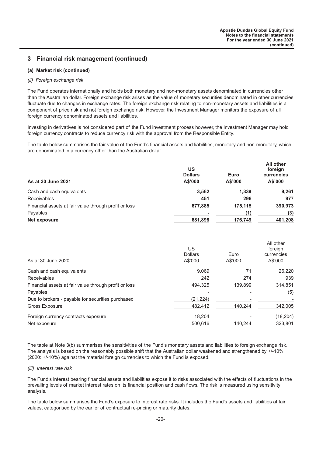**All other**

# **3 Financial risk management (continued)**

#### **(a) Market risk (continued)**

#### *(ii) Foreign exchange risk*

The Fund operates internationally and holds both monetary and non-monetary assets denominated in currencies other than the Australian dollar. Foreign exchange risk arises as the value of monetary securities denominated in other currencies fluctuate due to changes in exchange rates. The foreign exchange risk relating to non-monetary assets and liabilities is a component of price risk and not foreign exchange risk. However, the Investment Manager monitors the exposure of all foreign currency denominated assets and liabilities.

Investing in derivatives is not considered part of the Fund investment process however, the Investment Manager may hold foreign currency contracts to reduce currency risk with the approval from the Responsible Entity.

The table below summarises the fair value of the Fund's financial assets and liabilities, monetary and non-monetary, which are denominated in a currency other than the Australian dollar.

| US<br><b>Dollars</b><br>A\$'000 | Euro<br>A\$'000 | All other<br>foreign<br>currencies<br>A\$'000 |
|---------------------------------|-----------------|-----------------------------------------------|
| 3,562                           | 1,339           | 9.261                                         |
| 451                             | 296             | 977                                           |
| 677,885                         | 175,115         | 390,973                                       |
| ٠                               | (1)             | (3)                                           |
| 681,898                         | 176,749         | 401,208                                       |
|                                 |                 |                                               |

| As at 30 June 2020                                    | US<br><b>Dollars</b><br>A\$'000 | Euro<br>A\$'000 | All other<br>foreign<br>currencies<br>A\$'000 |
|-------------------------------------------------------|---------------------------------|-----------------|-----------------------------------------------|
| Cash and cash equivalents                             | 9.069                           | 71              | 26.220                                        |
| Receivables                                           | 242                             | 274             | 939                                           |
| Financial assets at fair value through profit or loss | 494.325                         | 139.899         | 314.851                                       |
| Payables                                              |                                 |                 | (5)                                           |
| Due to brokers - payable for securities purchased     | (21, 224)                       |                 |                                               |
| Gross Exposure                                        | 482.412                         | 140.244         | 342,005                                       |
| Foreign currency contracts exposure                   | 18,204                          |                 | (18, 204)                                     |
| Net exposure                                          | 500.616                         | 140.244         | 323,801                                       |

The table at Note 3(b) summarises the sensitivities of the Fund's monetary assets and liabilities to foreign exchange risk. The analysis is based on the reasonably possible shift that the Australian dollar weakened and strengthened by +/-10% (2020: +/-10%) against the material foreign currencies to which the Fund is exposed.

#### *(iii) Interest rate risk*

The Fund's interest bearing financial assets and liabilities expose it to risks associated with the effects of fluctuations in the prevailing levels of market interest rates on its financial position and cash flows. The risk is measured using sensitivity analysis.

The table below summarises the Fund's exposure to interest rate risks. It includes the Fund's assets and liabilities at fair values, categorised by the earlier of contractual re-pricing or maturity dates.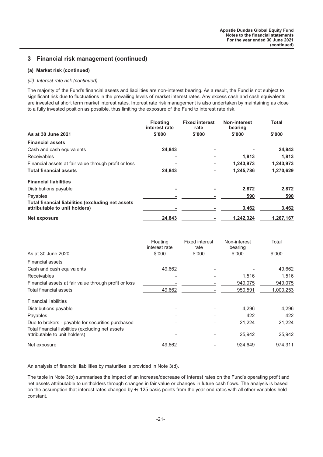# **3 Financial risk management (continued)**

#### **(a) Market risk (continued)**

#### *(iii) Interest rate risk (continued)*

The majority of the Fund's financial assets and liabilities are non-interest bearing. As a result, the Fund is not subject to significant risk due to fluctuations in the prevailing levels of market interest rates. Any excess cash and cash equivalents are invested at short term market interest rates. Interest rate risk management is also undertaken by maintaining as close to a fully invested position as possible, thus limiting the exposure of the Fund to interest rate risk.

|                                                                                           | <b>Floating</b><br>interest rate | <b>Fixed interest</b><br>rate | <b>Non-interest</b><br>bearing | <b>Total</b> |
|-------------------------------------------------------------------------------------------|----------------------------------|-------------------------------|--------------------------------|--------------|
| As at 30 June 2021                                                                        | \$'000                           | \$'000                        | \$'000                         | \$'000       |
| <b>Financial assets</b>                                                                   |                                  |                               |                                |              |
| Cash and cash equivalents                                                                 | 24,843                           | ۰                             |                                | 24,843       |
| <b>Receivables</b>                                                                        |                                  | ۰                             | 1,813                          | 1,813        |
| Financial assets at fair value through profit or loss                                     |                                  |                               | 1,243,973                      | 1,243,973    |
| <b>Total financial assets</b>                                                             | 24,843                           |                               | 1,245,786                      | 1,270,629    |
| <b>Financial liabilities</b>                                                              |                                  |                               |                                |              |
| Distributions payable                                                                     |                                  | ۰                             | 2,872                          | 2,872        |
| Payables                                                                                  |                                  |                               | 590                            | 590          |
| <b>Total financial liabilities (excluding net assets</b><br>attributable to unit holders) |                                  |                               | 3,462                          | 3,462        |
| Net exposure                                                                              | 24.843                           |                               | 1.242.324                      | 1,267,167    |

|                                                                                    | Floating<br>interest rate | <b>Fixed interest</b><br>rate | Non-interest<br>bearing | Total     |
|------------------------------------------------------------------------------------|---------------------------|-------------------------------|-------------------------|-----------|
| As at 30 June 2020                                                                 | \$'000                    | \$'000                        | \$'000                  | \$'000    |
| <b>Financial assets</b>                                                            |                           |                               |                         |           |
| Cash and cash equivalents                                                          | 49,662                    |                               |                         | 49,662    |
| <b>Receivables</b>                                                                 |                           |                               | 1,516                   | 1,516     |
| Financial assets at fair value through profit or loss                              |                           |                               | 949,075                 | 949,075   |
| Total financial assets                                                             | 49,662                    |                               | 950,591                 | 1,000,253 |
| <b>Financial liabilities</b>                                                       |                           |                               |                         |           |
| Distributions payable                                                              |                           |                               | 4,296                   | 4,296     |
| Payables                                                                           |                           |                               | 422                     | 422       |
| Due to brokers - payable for securities purchased                                  |                           |                               | 21,224                  | 21,224    |
| Total financial liabilities (excluding net assets<br>attributable to unit holders) |                           |                               | 25,942                  | 25,942    |
| Net exposure                                                                       | 49,662                    |                               | 924,649                 | 974,311   |

An analysis of financial liabilities by maturities is provided in Note 3(d).

The table in Note 3(b) summarises the impact of an increase/decrease of interest rates on the Fund's operating profit and net assets attributable to unitholders through changes in fair value or changes in future cash flows. The analysis is based on the assumption that interest rates changed by +/-125 basis points from the year end rates with all other variables held constant.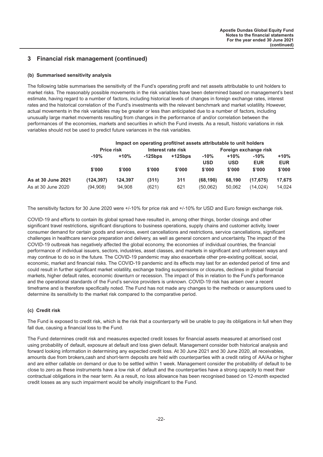# **3 Financial risk management (continued)**

#### **(b) Summarised sensitivity analysis**

The following table summarises the sensitivity of the Fund's operating profit and net assets attributable to unit holders to market risks. The reasonably possible movements in the risk variables have been determined based on management's best estimate, having regard to a number of factors, including historical levels of changes in foreign exchange rates, interest rates and the historical correlation of the Fund's investments with the relevant benchmark and market volatility. However, actual movements in the risk variables may be greater or less than anticipated due to a number of factors, including unusually large market movements resulting from changes in the performance of and/or correlation between the performances of the economies, markets and securities in which the Fund invests. As a result, historic variations in risk variables should not be used to predict future variances in the risk variables.

|                    |                   | Impact on operating profit/net assets attributable to unit holders |                    |            |                       |            |            |            |  |
|--------------------|-------------------|--------------------------------------------------------------------|--------------------|------------|-----------------------|------------|------------|------------|--|
|                    | <b>Price risk</b> |                                                                    | Interest rate risk |            | Foreign exchange risk |            |            |            |  |
|                    | $-10%$            | $+10%$                                                             | $-125$ bps         | $+125$ bps | $-10%$                | $+10%$     | $-10%$     | +10%       |  |
|                    |                   |                                                                    |                    |            | <b>USD</b>            | <b>USD</b> | <b>EUR</b> | <b>EUR</b> |  |
|                    | \$'000            | \$'000                                                             | \$'000             | \$'000     | \$'000                | \$'000     | \$'000     | \$'000     |  |
| As at 30 June 2021 | (124, 397)        | 124.397                                                            | (311)              | 311        | (68.190)              | 68.190     | (17.675)   | 17,675     |  |
| As at 30 June 2020 | (94, 908)         | 94,908                                                             | (621)              | 621        | (50.062)              | 50.062     | (14.024)   | 14,024     |  |

The sensitivity factors for 30 June 2020 were +/-10% for price risk and +/-10% for USD and Euro foreign exchange risk.

COVID-19 and efforts to contain its global spread have resulted in, among other things, border closings and other significant travel restrictions, significant disruptions to business operations, supply chains and customer activity, lower consumer demand for certain goods and services, event cancellations and restrictions, service cancellations, significant challenges in healthcare service preparation and delivery, as well as general concern and uncertainty. The impact of the COVID-19 outbreak has negatively affected the global economy, the economies of individual countries, the financial performance of individual issuers, sectors, industries, asset classes, and markets in significant and unforeseen ways and may continue to do so in the future. The COVID-19 pandemic may also exacerbate other pre-existing political, social, economic, market and financial risks. The COVID-19 pandemic and its effects may last for an extended period of time and could result in further significant market volatility, exchange trading suspensions or closures, declines in global financial markets, higher default rates, economic downturn or recession. The impact of this in relation to the Fund's performance and the operational standards of the Fund's service providers is unknown. COVID-19 risk has arisen over a recent timeframe and is therefore specifically noted. The Fund has not made any changes to the methods or assumptions used to determine its sensitivity to the market risk compared to the comparative period.

#### **(c) Credit risk**

The Fund is exposed to credit risk, which is the risk that a counterparty will be unable to pay its obligations in full when they fall due, causing a financial loss to the Fund.

The Fund determines credit risk and measures expected credit losses for financial assets measured at amortised cost using probability of default, exposure at default and loss given default. Management consider both historical analysis and forward looking information in determining any expected credit loss. At 30 June 2021 and 30 June 2020, all receivables, amounts due from brokers,cash and short-term deposits are held with counterparties with a credit rating of AA/Aa or higher and are either callable on demand or due to be settled within 1 week. Management consider the probability of default to be close to zero as these instruments have a low risk of default and the counterparties have a strong capacity to meet their contractual obligations in the near term. As a result, no loss allowance has been recognised based on 12-month expected credit losses as any such impairment would be wholly insignificant to the Fund.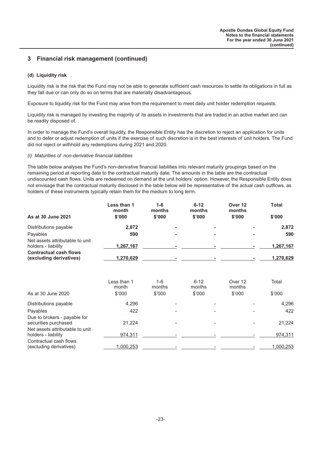# **3 Financial risk management (continued)**

#### **(d) Liquidity risk**

Liquidity risk is the risk that the Fund may not be able to generate sufficient cash resources to settle its obligations in full as they fall due or can only do so on terms that are materially disadvantageous.

Exposure to liquidity risk for the Fund may arise from the requirement to meet daily unit holder redemption requests.

Liquidity risk is managed by investing the majority of its assets in investments that are traded in an active market and can be readily disposed of.

In order to manage the Fund's overall liquidity, the Responsible Entity has the discretion to reject an application for units and to defer or adjust redemption of units if the exercise of such discretion is in the best interests of unit holders. The Fund did not reject or withhold any redemptions during 2021 and 2020.

#### *(i) Maturities of non-derivative financial liabilities*

The table below analyses the Fund's non-derivative financial liabilities into relevant maturity groupings based on the remaining period at reporting date to the contractual maturity date. The amounts in the table are the contractual undiscounted cash flows. Units are redeemed on demand at the unit holders' option. However, the Responsible Entity does not envisage that the contractual maturity disclosed in the table below will be representative of the actual cash outflows, as holders of these instruments typically retain them for the medium to long term.

|                                                          | Less than 1<br>month | $1 - 6$<br>months | $6 - 12$<br>months | Over 12<br>months | Total     |
|----------------------------------------------------------|----------------------|-------------------|--------------------|-------------------|-----------|
| As at 30 June 2021                                       | \$'000               | \$'000            | \$'000             | \$'000            | \$'000    |
| Distributions payable                                    | 2,872                |                   | ۰                  | ۰                 | 2,872     |
| Payables                                                 | 590                  |                   | ۰                  | ۰                 | 590       |
| Net assets attributable to unit<br>holders - liability   | 1.267.167            |                   |                    |                   | 1,267,167 |
| <b>Contractual cash flows</b><br>(excluding derivatives) | 1,270,629            |                   | ۰                  |                   | 1,270,629 |

|                                                        | Less than 1<br>month | $1 - 6$<br>months | $6 - 12$<br>months       | Over 12<br>months | Total     |
|--------------------------------------------------------|----------------------|-------------------|--------------------------|-------------------|-----------|
| As at 30 June 2020                                     | \$'000               | \$'000            | \$'000                   | \$'000            | \$'000    |
| Distributions payable                                  | 4,296                |                   |                          |                   | 4,296     |
| Payables                                               | 422                  |                   |                          |                   | 422       |
| Due to brokers - payable for<br>securities purchased   | 21.224               |                   | $\overline{\phantom{a}}$ |                   | 21,224    |
| Net assets attributable to unit<br>holders - liability | 974.311              |                   |                          |                   | 974,311   |
| Contractual cash flows<br>(excluding derivatives)      | 1,000,253            |                   |                          |                   | 1,000,253 |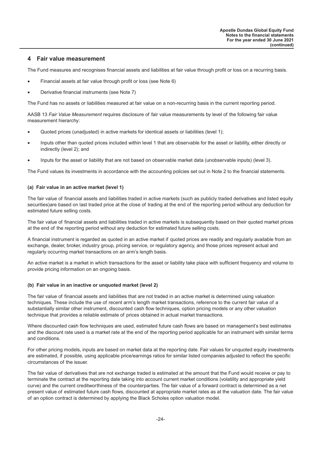#### <span id="page-24-0"></span>**4 Fair value measurement**

The Fund measures and recognises financial assets and liabilities at fair value through profit or loss on a recurring basis.

- Financial assets at fair value through profit or loss (see Note 6)
- Derivative financial instruments (see Note 7)

The Fund has no assets or liabilities measured at fair value on a non-recurring basis in the current reporting period.

AASB 13 *Fair Value Measurement* requires disclosure of fair value measurements by level of the following fair value measurement hierarchy:

- Quoted prices (unadjusted) in active markets for identical assets or liabilities (level 1);
- Inputs other than quoted prices included within level 1 that are observable for the asset or liability, either directly or indirectly (level 2); and
- Inputs for the asset or liability that are not based on observable market data (unobservable inputs) (level 3).

The Fund values its investments in accordance with the accounting policies set out in Note 2 to the financial statements.

#### **(a) Fair value in an active market (level 1)**

The fair value of financial assets and liabilities traded in active markets (such as publicly traded derivatives and listed equity securities)are based on last traded price at the close of trading at the end of the reporting period without any deduction for estimated future selling costs.

The fair value of financial assets and liabilities traded in active markets is subsequently based on their quoted market prices at the end of the reporting period without any deduction for estimated future selling costs.

A financial instrument is regarded as quoted in an active market if quoted prices are readily and regularly available from an exchange, dealer, broker, industry group, pricing service, or regulatory agency, and those prices represent actual and regularly occurring market transactions on an arm's length basis.

An active market is a market in which transactions for the asset or liability take place with sufficient frequency and volume to provide pricing information on an ongoing basis.

#### **(b) Fair value in an inactive or unquoted market (level 2)**

The fair value of financial assets and liabilities that are not traded in an active market is determined using valuation techniques. These include the use of recent arm's length market transactions, reference to the current fair value of a substantially similar other instrument, discounted cash flow techniques, option pricing models or any other valuation technique that provides a reliable estimate of prices obtained in actual market transactions.

Where discounted cash flow techniques are used, estimated future cash flows are based on management's best estimates and the discount rate used is a market rate at the end of the reporting period applicable for an instrument with similar terms and conditions.

For other pricing models, inputs are based on market data at the reporting date. Fair values for unquoted equity investments are estimated, if possible, using applicable price/earnings ratios for similar listed companies adjusted to reflect the specific circumstances of the issuer.

The fair value of derivatives that are not exchange traded is estimated at the amount that the Fund would receive or pay to terminate the contract at the reporting date taking into account current market conditions (volatility and appropriate yield curve) and the current creditworthiness of the counterparties. The fair value of a forward contract is determined as a net present value of estimated future cash flows, discounted at appropriate market rates as at the valuation date. The fair value of an option contract is determined by applying the Black Scholes option valuation model.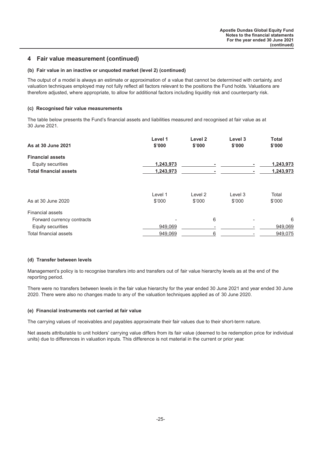## **4 Fair value measurement (continued)**

#### **(b) Fair value in an inactive or unquoted market (level 2) (continued)**

The output of a model is always an estimate or approximation of a value that cannot be determined with certainty, and valuation techniques employed may not fully reflect all factors relevant to the positions the Fund holds. Valuations are therefore adjusted, where appropriate, to allow for additional factors including liquidity risk and counterparty risk.

#### **(c) Recognised fair value measurements**

The table below presents the Fund's financial assets and liabilities measured and recognised at fair value as at 30 June 2021.

| As at 30 June 2021            | Level 1<br>\$'000 | Level <sub>2</sub><br>\$'000 | Level 3<br>\$'000 | <b>Total</b><br>\$'000 |
|-------------------------------|-------------------|------------------------------|-------------------|------------------------|
| <b>Financial assets</b>       |                   |                              |                   |                        |
| Equity securities             | 1,243,973         | ۰                            |                   | 1,243,973              |
| <b>Total financial assets</b> | 1,243,973         |                              |                   | 1,243,973              |
| As at 30 June 2020            | Level 1<br>\$'000 | Level 2<br>\$'000            | Level 3<br>\$'000 | Total<br>\$'000        |
| <b>Financial assets</b>       |                   |                              |                   |                        |
| Forward currency contracts    |                   | 6                            | $\blacksquare$    | 6                      |
| Equity securities             | 949,069           |                              |                   | 949,069                |
| Total financial assets        | 949,069           | 6                            |                   | 949,075                |

#### **(d) Transfer between levels**

Management's policy is to recognise transfers into and transfers out of fair value hierarchy levels as at the end of the reporting period.

There were no transfers between levels in the fair value hierarchy for the year ended 30 June 2021 and year ended 30 June 2020. There were also no changes made to any of the valuation techniques applied as of 30 June 2020.

#### **(e) Financial instruments not carried at fair value**

The carrying values of receivables and payables approximate their fair values due to their short-term nature.

Net assets attributable to unit holders' carrying value differs from its fair value (deemed to be redemption price for individual units) due to differences in valuation inputs. This difference is not material in the current or prior year.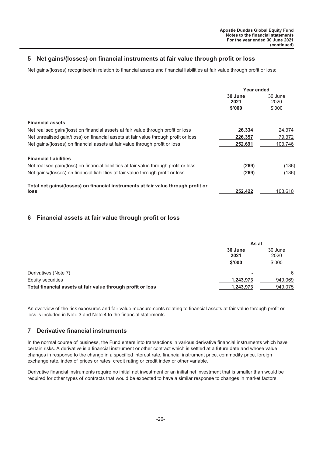# <span id="page-26-0"></span>**5 Net gains/(losses) on financial instruments at fair value through profit or loss**

Net gains/(losses) recognised in relation to financial assets and financial liabilities at fair value through profit or loss:

|                                                                                        | <b>Year ended</b>         |                           |
|----------------------------------------------------------------------------------------|---------------------------|---------------------------|
|                                                                                        | 30 June<br>2021<br>\$'000 | 30 June<br>2020<br>\$'000 |
| <b>Financial assets</b>                                                                |                           |                           |
| Net realised gain/(loss) on financial assets at fair value through profit or loss      | 26,334                    | 24,374                    |
| Net unrealised gain/(loss) on financial assets at fair value through profit or loss    | 226,357                   | 79,372                    |
| Net gains/(losses) on financial assets at fair value through profit or loss            | 252,691                   | 103,746                   |
| <b>Financial liabilities</b>                                                           |                           |                           |
| Net realised gain/(loss) on financial liabilities at fair value through profit or loss | (269)                     | (136)                     |
| Net gains/(losses) on financial liabilities at fair value through profit or loss       | (269)                     | (136)                     |
| Total net gains/(losses) on financial instruments at fair value through profit or      |                           |                           |
| <b>loss</b>                                                                            | 252.422                   | 103,610                   |

#### **6 Financial assets at fair value through profit or loss**

|                                                             | As at           |                 |
|-------------------------------------------------------------|-----------------|-----------------|
|                                                             | 30 June<br>2021 | 30 June<br>2020 |
|                                                             | \$'000          | \$'000          |
| Derivatives (Note 7)                                        |                 | 6               |
| Equity securities                                           | 1,243,973       | 949,069         |
| Total financial assets at fair value through profit or loss | 1.243.973       | 949,075         |

An overview of the risk exposures and fair value measurements relating to financial assets at fair value through profit or loss is included in Note 3 and Note 4 to the financial statements.

## **7 Derivative financial instruments**

In the normal course of business, the Fund enters into transactions in various derivative financial instruments which have certain risks. A derivative is a financial instrument or other contract which is settled at a future date and whose value changes in response to the change in a specified interest rate, financial instrument price, commodity price, foreign exchange rate, index of prices or rates, credit rating or credit index or other variable.

Derivative financial instruments require no initial net investment or an initial net investment that is smaller than would be required for other types of contracts that would be expected to have a similar response to changes in market factors.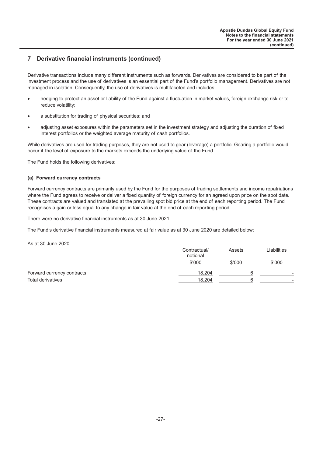# **7 Derivative financial instruments (continued)**

Derivative transactions include many different instruments such as forwards. Derivatives are considered to be part of the investment process and the use of derivatives is an essential part of the Fund's portfolio management. Derivatives are not managed in isolation. Consequently, the use of derivatives is multifaceted and includes:

- hedging to protect an asset or liability of the Fund against a fluctuation in market values, foreign exchange risk or to reduce volatility;
- a substitution for trading of physical securities; and
- adjusting asset exposures within the parameters set in the investment strategy and adjusting the duration of fixed interest portfolios or the weighted average maturity of cash portfolios.

While derivatives are used for trading purposes, they are not used to gear (leverage) a portfolio. Gearing a portfolio would occur if the level of exposure to the markets exceeds the underlying value of the Fund.

The Fund holds the following derivatives:

#### **(a) Forward currency contracts**

Forward currency contracts are primarily used by the Fund for the purposes of trading settlements and income repatriations where the Fund agrees to receive or deliver a fixed quantity of foreign currency for an agreed upon price on the spot date. These contracts are valued and translated at the prevailing spot bid price at the end of each reporting period. The Fund recognises a gain or loss equal to any change in fair value at the end of each reporting period.

There were no derivative financial instruments as at 30 June 2021.

The Fund's derivative financial instruments measured at fair value as at 30 June 2020 are detailed below:

As at 30 June 2020

|                            | Contractual/<br>notional | Assets | Liabilities              |
|----------------------------|--------------------------|--------|--------------------------|
|                            | \$'000                   | \$'000 | \$'000                   |
| Forward currency contracts | 18.204                   |        | $\overline{\phantom{a}}$ |
| <b>Total derivatives</b>   | 18.204                   |        | -                        |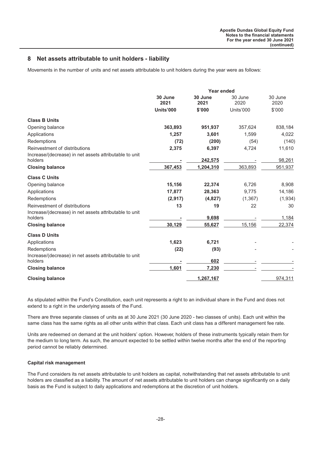## <span id="page-28-0"></span>**8 Net assets attributable to unit holders - liability**

Movements in the number of units and net assets attributable to unit holders during the year were as follows:

|                                                                                         | Year ended      |                 |           |                 |
|-----------------------------------------------------------------------------------------|-----------------|-----------------|-----------|-----------------|
|                                                                                         | 30 June<br>2021 | 30 June<br>2021 |           | 30 June<br>2020 |
|                                                                                         | Units'000       | \$'000          | Units'000 | \$'000          |
| <b>Class B Units</b>                                                                    |                 |                 |           |                 |
| Opening balance                                                                         | 363,893         | 951,937         | 357,624   | 838,184         |
| Applications                                                                            | 1,257           | 3,601           | 1,599     | 4,022           |
| Redemptions                                                                             | (72)            | (200)           | (54)      | (140)           |
| Reinvestment of distributions<br>Increase/(decrease) in net assets attributable to unit | 2,375           | 6,397           | 4,724     | 11,610          |
| holders                                                                                 |                 | 242,575         |           | 98,261          |
| <b>Closing balance</b>                                                                  | 367,453         | 1,204,310       | 363,893   | 951,937         |
| <b>Class C Units</b>                                                                    |                 |                 |           |                 |
| Opening balance                                                                         | 15,156          | 22,374          | 6,726     | 8,908           |
| Applications                                                                            | 17,877          | 28,363          | 9,775     | 14,186          |
| Redemptions                                                                             | (2,917)         | (4,827)         | (1, 367)  | (1,934)         |
| Reinvestment of distributions                                                           | 13              | 19              | 22        | 30              |
| Increase/(decrease) in net assets attributable to unit<br>holders                       |                 | 9,698           |           | 1,184           |
| <b>Closing balance</b>                                                                  | 30,129          | 55,627          | 15,156    | 22,374          |
| <b>Class D Units</b>                                                                    |                 |                 |           |                 |
| Applications                                                                            | 1,623           | 6,721           |           |                 |
| Redemptions                                                                             | (22)            | (93)            |           |                 |
| Increase/(decrease) in net assets attributable to unit<br>holders                       |                 | 602             |           |                 |
| <b>Closing balance</b>                                                                  | 1,601           | 7,230           |           |                 |
| <b>Closing balance</b>                                                                  |                 | 1,267,167       |           | 974,311         |

As stipulated within the Fund's Constitution, each unit represents a right to an individual share in the Fund and does not extend to a right in the underlying assets of the Fund.

There are three separate classes of units as at 30 June 2021 (30 June 2020 - two classes of units). Each unit within the same class has the same rights as all other units within that class. Each unit class has a different management fee rate.

Units are redeemed on demand at the unit holders' option. However, holders of these instruments typically retain them for the medium to long term. As such, the amount expected to be settled within twelve months after the end of the reporting period cannot be reliably determined.

#### **Capital risk management**

The Fund considers its net assets attributable to unit holders as capital, notwithstanding that net assets attributable to unit holders are classified as a liability. The amount of net assets attributable to unit holders can change significantly on a daily basis as the Fund is subject to daily applications and redemptions at the discretion of unit holders.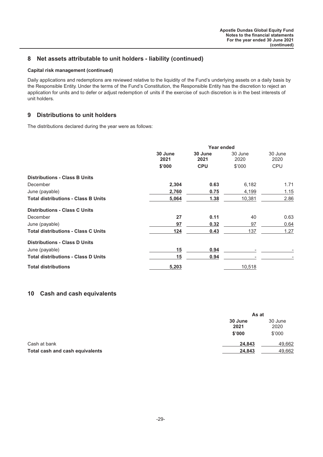# <span id="page-29-0"></span>**8 Net assets attributable to unit holders - liability (continued)**

#### **Capital risk management (continued)**

Daily applications and redemptions are reviewed relative to the liquidity of the Fund's underlying assets on a daily basis by the Responsible Entity. Under the terms of the Fund's Constitution, the Responsible Entity has the discretion to reject an application for units and to defer or adjust redemption of units if the exercise of such discretion is in the best interests of unit holders.

# **9 Distributions to unit holders**

The distributions declared during the year were as follows:

|                                            |                 | Year ended      |                 |                 |  |
|--------------------------------------------|-----------------|-----------------|-----------------|-----------------|--|
|                                            | 30 June<br>2021 | 30 June<br>2021 | 30 June<br>2020 | 30 June<br>2020 |  |
|                                            | \$'000          | <b>CPU</b>      | \$'000          | <b>CPU</b>      |  |
| <b>Distributions - Class B Units</b>       |                 |                 |                 |                 |  |
| December                                   | 2,304           | 0.63            | 6,182           | 1.71            |  |
| June (payable)                             | 2,760           | 0.75            | 4,199           | 1.15            |  |
| <b>Total distributions - Class B Units</b> | 5,064           | 1.38            | 10,381          | 2.86            |  |
| <b>Distributions - Class C Units</b>       |                 |                 |                 |                 |  |
| December                                   | 27              | 0.11            | 40              | 0.63            |  |
| June (payable)                             | 97              | 0.32            | 97              | 0.64            |  |
| <b>Total distributions - Class C Units</b> | 124             | 0.43            | 137             | 1.27            |  |
| <b>Distributions - Class D Units</b>       |                 |                 |                 |                 |  |
| June (payable)                             | 15              | 0.94            |                 |                 |  |
| <b>Total distributions - Class D Units</b> | 15              | 0.94            |                 |                 |  |
| <b>Total distributions</b>                 | 5,203           |                 | 10,518          |                 |  |
|                                            |                 |                 |                 |                 |  |

# **10 Cash and cash equivalents**

|                                 | As at                     |                           |
|---------------------------------|---------------------------|---------------------------|
|                                 | 30 June<br>2021<br>\$'000 | 30 June<br>2020<br>\$'000 |
| Cash at bank                    | 24,843                    | 49,662                    |
| Total cash and cash equivalents | 24.843                    | 49,662                    |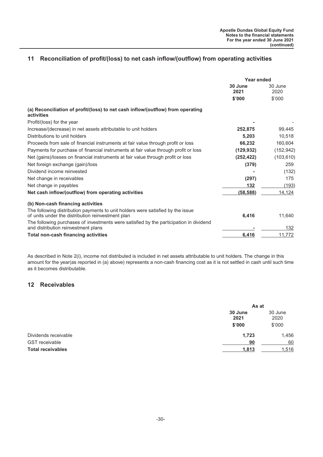# <span id="page-30-0"></span>**11 Reconciliation of profit/(loss) to net cash inflow/(outflow) from operating activities**

|                                                                                                                                      | Year ended      |                 |
|--------------------------------------------------------------------------------------------------------------------------------------|-----------------|-----------------|
|                                                                                                                                      | 30 June<br>2021 | 30 June<br>2020 |
|                                                                                                                                      | \$'000          | \$'000          |
| (a) Reconciliation of profit/(loss) to net cash inflow/(outflow) from operating<br>activities                                        |                 |                 |
| Profit/(loss) for the year                                                                                                           |                 |                 |
| Increase/(decrease) in net assets attributable to unit holders                                                                       | 252,875         | 99,445          |
| Distributions to unit holders                                                                                                        | 5,203           | 10,518          |
| Proceeds from sale of financial instruments at fair value through profit or loss                                                     | 66,232          | 160,604         |
| Payments for purchase of financial instruments at fair value through profit or loss                                                  | (129, 932)      | (152, 942)      |
| Net (gains)/losses on financial instruments at fair value through profit or loss                                                     | (252, 422)      | (103, 610)      |
| Net foreign exchange (gain)/loss                                                                                                     | (379)           | 259             |
| Dividend income reinvested                                                                                                           |                 | (132)           |
| Net change in receivables                                                                                                            | (297)           | 175             |
| Net change in payables                                                                                                               | 132             | (193)           |
| Net cash inflow/(outflow) from operating activities                                                                                  | (58, 588)       | 14,124          |
| (b) Non-cash financing activities                                                                                                    |                 |                 |
| The following distribution payments to unit holders were satisfied by the issue<br>of units under the distribution reinvestment plan | 6,416           | 11,640          |
| The following purchases of investments were satisfied by the participation in dividend<br>and distribution reinvestment plans        |                 | 132             |
| <b>Total non-cash financing activities</b>                                                                                           | 6,416           | 11,772          |

As described in Note 2(i), income not distributed is included in net assets attributable to unit holders. The change in this amount for the year(as reported in (a) above) represents a non-cash financing cost as it is not settled in cash until such time as it becomes distributable.

## **12 Receivables**

|                          | As at           |        |  |
|--------------------------|-----------------|--------|--|
|                          | 30 June<br>2021 |        |  |
|                          | \$'000          | \$'000 |  |
| Dividends receivable     | 1,723           | 1,456  |  |
| <b>GST</b> receivable    | 90              | 60     |  |
| <b>Total receivables</b> | 1,813           | 1,516  |  |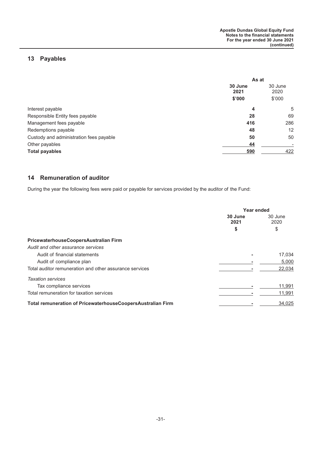# <span id="page-31-0"></span>**13 Payables**

|                                         | As at                              |                          |  |
|-----------------------------------------|------------------------------------|--------------------------|--|
|                                         | 30 June<br>30 June<br>2020<br>2021 |                          |  |
|                                         | \$'000                             | \$'000                   |  |
| Interest payable                        | 4                                  | 5                        |  |
| Responsible Entity fees payable         | 28                                 | 69                       |  |
| Management fees payable                 | 416                                | 286                      |  |
| Redemptions payable                     | 48                                 | 12                       |  |
| Custody and administration fees payable | 50                                 | 50                       |  |
| Other payables                          | 44                                 | $\overline{\phantom{a}}$ |  |
| <b>Total payables</b>                   | 590                                | 422                      |  |

# **14 Remuneration of auditor**

During the year the following fees were paid or payable for services provided by the auditor of the Fund:

|                                                             | Year ended      |                 |  |
|-------------------------------------------------------------|-----------------|-----------------|--|
|                                                             | 30 June<br>2021 | 30 June<br>2020 |  |
|                                                             | \$              | \$              |  |
| PricewaterhouseCoopersAustralian Firm                       |                 |                 |  |
| Audit and other assurance services                          |                 |                 |  |
| Audit of financial statements                               |                 | 17,034          |  |
| Audit of compliance plan                                    |                 | 5,000           |  |
| Total auditor remuneration and other assurance services     |                 | 22,034          |  |
| <b>Taxation services</b>                                    |                 |                 |  |
| Tax compliance services                                     |                 | 11,991          |  |
| Total remuneration for taxation services                    |                 | 11,991          |  |
| Total remuneration of PricewaterhouseCoopersAustralian Firm |                 | 34,025          |  |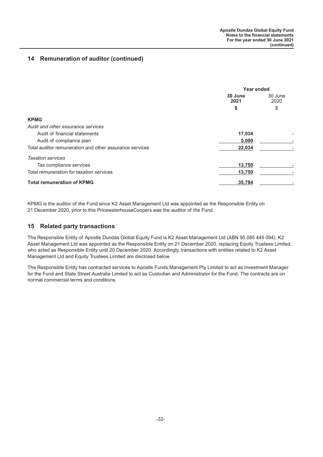# <span id="page-32-0"></span>**14 Remuneration of auditor (continued)**

|                                                         | <b>Year ended</b> |                 |  |
|---------------------------------------------------------|-------------------|-----------------|--|
|                                                         | 30 June<br>2021   | 30 June<br>2020 |  |
|                                                         | \$                | \$              |  |
| <b>KPMG</b>                                             |                   |                 |  |
| Audit and other assurance services                      |                   |                 |  |
| Audit of financial statements                           | 17,034            |                 |  |
| Audit of compliance plan                                | 5,000             |                 |  |
| Total auditor remuneration and other assurance services | 22,034            |                 |  |
| <b>Taxation services</b>                                |                   |                 |  |
| Tax compliance services                                 | 13,750            |                 |  |
| Total remuneration for taxation services                | 13,750            |                 |  |
| <b>Total remuneration of KPMG</b>                       | 35,784            |                 |  |

KPMG is the auditor of the Fund since K2 Asset Management Ltd was appointed as the Responsible Entity on 21 December 2020, prior to this PricewaterhouseCoopers was the auditor of the Fund.

## **15 Related party transactions**

The Responsible Entity of Apostle Dundas Global Equity Fund is K2 Asset Management Ltd (ABN 95 085 445 094). K2 Asset Management Ltd was appointed as the Responsible Entity on 21 December 2020, replacing Equity Trustees Limited, who acted as Responsible Entity until 20 December 2020. Accordingly, transactions with entities related to K2 Asset Management Ltd and Equity Trustees Limited are disclosed below.

The Responsible Entity has contracted services to Apostle Funds Management Pty Limited to act as Investment Manager for the Fund and State Street Australia Limited to act as Custodian and Administrator for the Fund. The contracts are on normal commercial terms and conditions.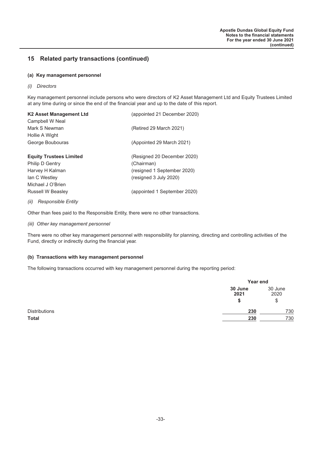#### **(a) Key management personnel**

*(i) Directors*

Key management personnel include persons who were directors of K2 Asset Management Ltd and Equity Trustees Limited at any time during or since the end of the financial year and up to the date of this report.

| K2 Asset Management Ltd<br>(appointed 21 December 2020) |                              |  |  |  |  |
|---------------------------------------------------------|------------------------------|--|--|--|--|
| Campbell W Neal                                         |                              |  |  |  |  |
| Mark S Newman                                           | (Retired 29 March 2021)      |  |  |  |  |
| Hollie A Wight                                          |                              |  |  |  |  |
| George Boubouras                                        | (Appointed 29 March 2021)    |  |  |  |  |
|                                                         |                              |  |  |  |  |
| <b>Equity Trustees Limited</b>                          | (Resigned 20 December 2020)  |  |  |  |  |
| Philip D Gentry                                         | (Chairman)                   |  |  |  |  |
| Harvey H Kalman                                         | (resigned 1 September 2020)  |  |  |  |  |
| lan C Westley                                           | (resigned 3 July 2020)       |  |  |  |  |
| Michael J O'Brien                                       |                              |  |  |  |  |
| <b>Russell W Beasley</b>                                | (appointed 1 September 2020) |  |  |  |  |
| Responsible Entity<br>(ii)                              |                              |  |  |  |  |

Other than fees paid to the Responsible Entity, there were no other transactions.

*(iii) Other key management personnel*

There were no other key management personnel with responsibility for planning, directing and controlling activities of the Fund, directly or indirectly during the financial year.

#### **(b) Transactions with key management personnel**

The following transactions occurred with key management personnel during the reporting period:

|                      |                 | Year end              |  |
|----------------------|-----------------|-----------------------|--|
|                      | 30 June<br>2021 | 30 June<br>2020<br>\$ |  |
| <b>Distributions</b> | 230             | 730                   |  |
| <b>Total</b>         | 230             | 730                   |  |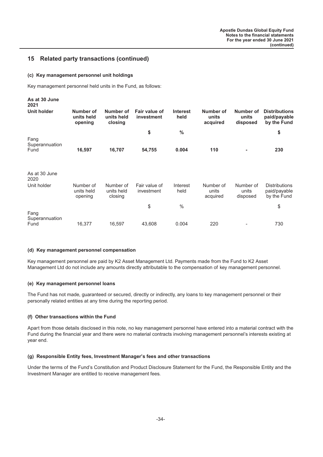#### **(c) Key management personnel unit holdings**

Key management personnel held units in the Fund, as follows:

| As at 30 June<br>2021          |                                    |                                    |                             |                         |                                |                                |                                                     |
|--------------------------------|------------------------------------|------------------------------------|-----------------------------|-------------------------|--------------------------------|--------------------------------|-----------------------------------------------------|
| <b>Unit holder</b>             | Number of<br>units held<br>opening | Number of<br>units held<br>closing | Fair value of<br>investment | <b>Interest</b><br>held | Number of<br>units<br>acquired | Number of<br>units<br>disposed | <b>Distributions</b><br>paid/payable<br>by the Fund |
|                                |                                    |                                    | \$                          | $\frac{0}{0}$           |                                |                                | \$                                                  |
| Fang<br>Superannuation         |                                    |                                    |                             |                         |                                |                                |                                                     |
| Fund                           | 16,597                             | 16,707                             | 54,755                      | 0.004                   | 110                            | ۰                              | 230                                                 |
| As at 30 June<br>2020          |                                    |                                    |                             |                         |                                |                                |                                                     |
| Unit holder                    | Number of<br>units held<br>opening | Number of<br>units held<br>closing | Fair value of<br>investment | Interest<br>held        | Number of<br>units<br>acquired | Number of<br>units<br>disposed | <b>Distributions</b><br>paid/payable<br>by the Fund |
|                                |                                    |                                    | \$                          | $\%$                    |                                |                                | \$                                                  |
| Fang<br>Superannuation<br>Fund | 16,377                             | 16,597                             | 43,608                      | 0.004                   | 220                            |                                | 730                                                 |
|                                |                                    |                                    |                             |                         |                                |                                |                                                     |

#### **(d) Key management personnel compensation**

Key management personnel are paid by K2 Asset Management Ltd. Payments made from the Fund to K2 Asset Management Ltd do not include any amounts directly attributable to the compensation of key management personnel.

#### **(e) Key management personnel loans**

The Fund has not made, guaranteed or secured, directly or indirectly, any loans to key management personnel or their personally related entities at any time during the reporting period.

#### **(f) Other transactions within the Fund**

Apart from those details disclosed in this note, no key management personnel have entered into a material contract with the Fund during the financial year and there were no material contracts involving management personnel's interests existing at year end.

#### **(g) Responsible Entity fees, Investment Manager's fees and other transactions**

Under the terms of the Fund's Constitution and Product Disclosure Statement for the Fund, the Responsible Entity and the Investment Manager are entitled to receive management fees.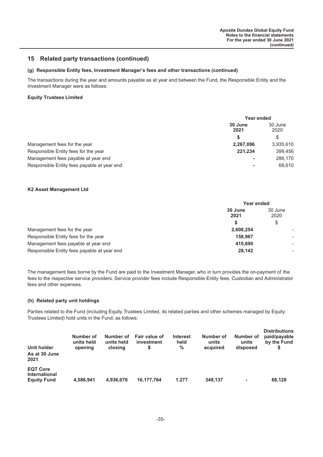#### **(g) Responsible Entity fees, Investment Manager's fees and other transactions (continued)**

The transactions during the year and amounts payable as at year end between the Fund, the Responsible Entity and the Investment Manager were as follows:

#### **Equity Trustees Limited**

|                                             | <b>Year ended</b> |                 |
|---------------------------------------------|-------------------|-----------------|
|                                             | 30 June<br>2021   | 30 June<br>2020 |
|                                             | S                 | \$              |
| Management fees for the year                | 2,267,096         | 3,935,610       |
| Responsible Entity fees for the year        | 221.234           | 399.456         |
| Management fees payable at year end         | ٠                 | 286,170         |
| Responsible Entity fees payable at year end | ٠                 | 68.610          |

#### **K2 Asset Management Ltd**

|                                             | Year ended      |                 |  |
|---------------------------------------------|-----------------|-----------------|--|
|                                             | 30 June<br>2021 | 30 June<br>2020 |  |
|                                             | S               | \$              |  |
| Management fees for the year                | 2.608.254       |                 |  |
| Responsible Entity fees for the year        | 158.967         |                 |  |
| Management fees payable at year end         | 415.690         |                 |  |
| Responsible Entity fees payable at year end | 28,142          |                 |  |

The management fees borne by the Fund are paid to the Investment Manager, who in turn provides the on-payment of the fees to the respective service providers. Service provider fees include Responsible Entity fees, Custodian and Administrator fees and other expenses.

#### **(h) Related party unit holdings**

Parties related to the Fund (including Equity Trustees Limited, its related parties and other schemes managed by Equity Trustees Limited) hold units in the Fund, as follows:

| Unit holder                                                   | Number of  | Number of  | Fair value of | <b>Interest</b> | Number of | Number of      | <b>Distributions</b> |
|---------------------------------------------------------------|------------|------------|---------------|-----------------|-----------|----------------|----------------------|
| As at 30 June                                                 | units held | units held | investment    | held            | units     | units          | paid/payable         |
| 2021                                                          | opening    | closing    | S             | %               | acquired  | disposed       | by the Fund          |
| <b>EQT Core</b><br><b>International</b><br><b>Equity Fund</b> | 4.586.941  | 4.936.078  | 16.177.764    | 1.277           | 349.137   | $\blacksquare$ | 68.128               |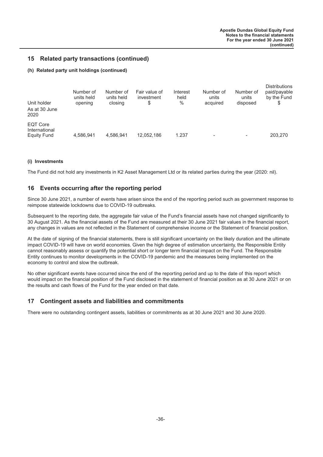#### <span id="page-36-0"></span>**(h) Related party unit holdings (continued)**

| Unit holder                                     | Number of  | Number of  | Fair value of | Interest | Number of | Number of | <b>Distributions</b> |
|-------------------------------------------------|------------|------------|---------------|----------|-----------|-----------|----------------------|
| As at 30 June                                   | units held | units held | investment    | held     | units     | units     | paid/payable         |
| 2020                                            | opening    | closing    | S             | %        | acquired  | disposed  | by the Fund          |
| <b>EQT Core</b><br>International<br>Equity Fund | 4.586.941  | 4.586.941  | 12,052,186    | 1.237    | -         |           | 203.270              |

#### **(i) Investments**

The Fund did not hold any investments in K2 Asset Management Ltd or its related parties during the year (2020: nil).

#### **16 Events occurring after the reporting period**

Since 30 June 2021, a number of events have arisen since the end of the reporting period such as government response to reimpose statewide lockdowns due to COVID-19 outbreaks.

Subsequent to the reporting date, the aggregate fair value of the Fund's financial assets have not changed significantly to 30 August 2021. As the financial assets of the Fund are measured at their 30 June 2021 fair values in the financial report, any changes in values are not reflected in the Statement of comprehensive income or the Statement of financial position.

At the date of signing of the financial statements, there is still significant uncertainty on the likely duration and the ultimate impact COVID-19 will have on world economies. Given the high degree of estimation uncertainty, the Responsible Entity cannot reasonably assess or quantify the potential short or longer term financial impact on the Fund. The Responsible Entity continues to monitor developments in the COVID-19 pandemic and the measures being implemented on the economy to control and slow the outbreak.

No other significant events have occurred since the end of the reporting period and up to the date of this report which would impact on the financial position of the Fund disclosed in the statement of financial position as at 30 June 2021 or on the results and cash flows of the Fund for the year ended on that date.

## **17 Contingent assets and liabilities and commitments**

There were no outstanding contingent assets, liabilities or commitments as at 30 June 2021 and 30 June 2020.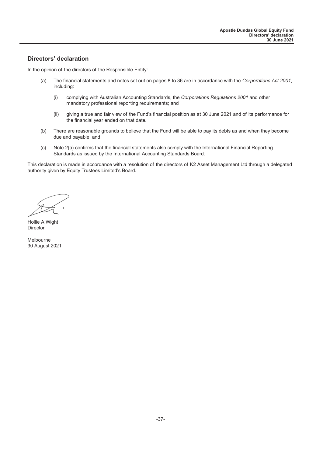# <span id="page-37-0"></span>**Directors' declaration**

In the opinion of the directors of the Responsible Entity:

- (a) The financial statements and notes set out on pages 8 to 36 are in accordance with the *Corporations Act 2001*, including:
	- (i) complying with Australian Accounting Standards, the *Corporations Regulations 2001* and other mandatory professional reporting requirements; and
	- (ii) giving a true and fair view of the Fund's financial position as at 30 June 2021 and of its performance for the financial year ended on that date.
- (b) There are reasonable grounds to believe that the Fund will be able to pay its debts as and when they become due and payable; and
- (c) Note 2(a) confirms that the financial statements also comply with the International Financial Reporting Standards as issued by the International Accounting Standards Board.

This declaration is made in accordance with a resolution of the directors of K2 Asset Management Ltd through a delegated authority given by Equity Trustees Limited's Board.

Hollie A Wight **Director** 

Melbourne 30 August 2021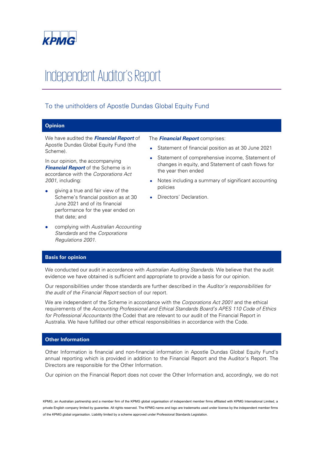

# Independent Auditor's Report

# To the unitholders of Apostle Dundas Global Equity Fund

## **Opinion**

We have audited the **Financial Report** of Apostle Dundas Global Equity Fund (the Scheme).

In our opinion, the accompanying **Financial Report** of the Scheme is in accordance with the Corporations Act 2001, including:

- giving a true and fair view of the Scheme's financial position as at 30 June 2021 and of its financial performance for the year ended on that date; and
- complying with Australian Accounting Standards and the Corporations Regulations 2001.

The **Financial Report** comprises:

- Statement of financial position as at 30 June 2021
- Statement of comprehensive income, Statement of changes in equity, and Statement of cash flows for the year then ended
- Notes including a summary of significant accounting policies
- Directors' Declaration.

#### **Basis for opinion**

We conducted our audit in accordance with Australian Auditing Standards. We believe that the audit evidence we have obtained is sufficient and appropriate to provide a basis for our opinion.

Our responsibilities under those standards are further described in the Auditor's responsibilities for the audit of the Financial Report section of our report.

We are independent of the Scheme in accordance with the Corporations Act 2001 and the ethical requirements of the Accounting Professional and Ethical Standards Board's APES 110 Code of Ethics for Professional Accountants (the Code) that are relevant to our audit of the Financial Report in Australia. We have fulfilled our other ethical responsibilities in accordance with the Code.

#### **Other Information**

Other Information is financial and non-financial information in Apostle Dundas Global Equity Fund's annual reporting which is provided in addition to the Financial Report and the Auditor's Report. The Directors are responsible for the Other Information.

Our opinion on the Financial Report does not cover the Other Information and, accordingly, we do not

KPMG, an Australian partnership and a member firm of the KPMG global organisation of independent member firms affiliated with KPMG International Limited, a private English company limited by guarantee. All rights reserved. The KPMG name and logo are trademarks used under license by the independent member firms of the KPMG global organisation. Liability limited by a scheme approved under Professional Standards Legislation.